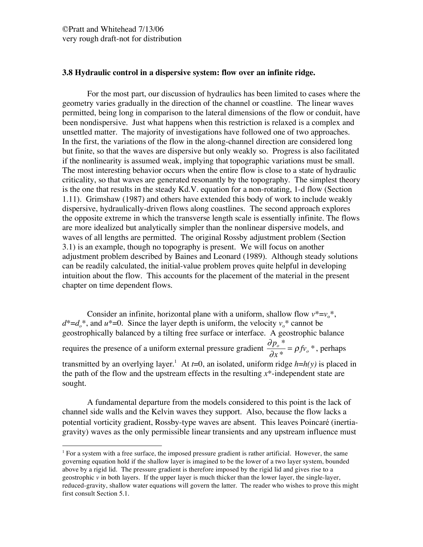# **3.8 Hydraulic control in a dispersive system: flow over an infinite ridge.**

For the most part, our discussion of hydraulics has been limited to cases where the geometry varies gradually in the direction of the channel or coastline. The linear waves permitted, being long in comparison to the lateral dimensions of the flow or conduit, have been nondispersive. Just what happens when this restriction is relaxed is a complex and unsettled matter. The majority of investigations have followed one of two approaches. In the first, the variations of the flow in the along-channel direction are considered long but finite, so that the waves are dispersive but only weakly so. Progress is also facilitated if the nonlinearity is assumed weak, implying that topographic variations must be small. The most interesting behavior occurs when the entire flow is close to a state of hydraulic criticality, so that waves are generated resonantly by the topography. The simplest theory is the one that results in the steady Kd.V. equation for a non-rotating, 1-d flow (Section 1.11). Grimshaw (1987) and others have extended this body of work to include weakly dispersive, hydraulically-driven flows along coastlines. The second approach explores the opposite extreme in which the transverse length scale is essentially infinite. The flows are more idealized but analytically simpler than the nonlinear dispersive models, and waves of all lengths are permitted. The original Rossby adjustment problem (Section 3.1) is an example, though no topography is present. We will focus on another adjustment problem described by Baines and Leonard (1989). Although steady solutions can be readily calculated, the initial-value problem proves quite helpful in developing intuition about the flow. This accounts for the placement of the material in the present chapter on time dependent flows.

Consider an infinite, horizontal plane with a uniform, shallow flow  $v^* = v_0^*$ ,  $d^* = d_o^*$ , and  $u^* = 0$ . Since the layer depth is uniform, the velocity  $v_o^*$  cannot be geostrophically balanced by a tilting free surface or interface. A geostrophic balance requires the presence of a uniform external pressure gradient  $\frac{\partial p_o^*}{\partial x_i^*}$  $\frac{\partial P_o}{\partial x^*} = \rho f v_o^*$ , perhaps transmitted by an overlying layer. <sup>1</sup> At *t*=0, an isolated, uniform ridge *h*=*h(y)* is placed in the path of the flow and the upstream effects in the resulting *x*\*-independent state are sought.

A fundamental departure from the models considered to this point is the lack of channel side walls and the Kelvin waves they support. Also, because the flow lacks a potential vorticity gradient, Rossby-type waves are absent. This leaves Poincaré (inertiagravity) waves as the only permissible linear transients and any upstream influence must

<sup>&</sup>lt;sup>1</sup> For a system with a free surface, the imposed pressure gradient is rather artificial. However, the same governing equation hold if the shallow layer is imagined to be the lower of a two layer system, bounded above by a rigid lid. The pressure gradient is therefore imposed by the rigid lid and gives rise to a geostrophic  $\nu$  in both layers. If the upper layer is much thicker than the lower layer, the single-layer, reduced-gravity, shallow water equations will govern the latter. The reader who wishes to prove this might first consult Section 5.1.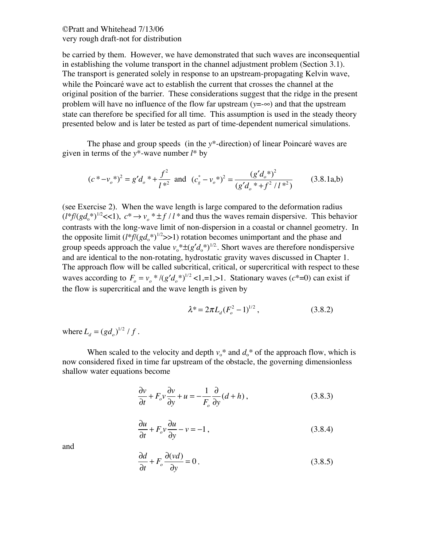be carried by them. However, we have demonstrated that such waves are inconsequential in establishing the volume transport in the channel adjustment problem (Section 3.1). The transport is generated solely in response to an upstream-propagating Kelvin wave, while the Poincaré wave act to establish the current that crosses the channel at the original position of the barrier. These considerations suggest that the ridge in the present problem will have no influence of the flow far upstream  $(y = \infty)$  and that the upstream state can therefore be specified for all time. This assumption is used in the steady theory presented below and is later be tested as part of time-dependent numerical simulations.

The phase and group speeds (in the *y*\*-direction) of linear Poincaré waves are given in terms of the *y*\*-wave number *l*\* by

$$
(c^* - v_o^*)^2 = g'd_o^* + \frac{f^2}{l^{*2}} \text{ and } (c_g^* - v_o^*)^2 = \frac{(g'd_o^*)^2}{(g'd_o^* + f^2/l^{*2})}
$$
(3.8.1a,b)

(see Exercise 2). When the wave length is large compared to the deformation radius  $(l^*f/(gd_o^*)^{1/2}<<1)$ ,  $c^* \to v_o^* \pm f/l^*$  and thus the waves remain dispersive. This behavior contrasts with the long-wave limit of non-dispersion in a coastal or channel geometry. In the opposite limit  $(l^*f/(gd_0^*)^{1/2}>>1)$  rotation becomes unimportant and the phase and group speeds approach the value  $v_0^* \pm (g'd_0^*)^{1/2}$ . Short waves are therefore nondispersive and are identical to the non-rotating, hydrostatic gravity waves discussed in Chapter 1. The approach flow will be called subcritical, critical, or supercritical with respect to these waves according to  $F_o = v_o * / (g'd_o^*)^{1/2} < 1, =1, >1$ . Stationary waves  $(c^*=0)$  can exist if the flow is supercritical and the wave length is given by

$$
\lambda^* = 2\pi L_d (F_o^2 - 1)^{1/2}, \qquad (3.8.2)
$$

where  $L_d = (gd_o)^{1/2} / f$ .

When scaled to the velocity and depth  $v_0^*$  and  $d_0^*$  of the approach flow, which is now considered fixed in time far upstream of the obstacle, the governing dimensionless shallow water equations become

$$
\frac{\partial v}{\partial t} + F_o v \frac{\partial v}{\partial y} + u = -\frac{1}{F_o} \frac{\partial}{\partial y} (d + h) ,
$$
 (3.8.3)

$$
\frac{\partial u}{\partial t} + F_o v \frac{\partial u}{\partial y} - v = -1,
$$
\n(3.8.4)

and

$$
\frac{\partial d}{\partial t} + F_o \frac{\partial (vd)}{\partial y} = 0.
$$
 (3.8.5)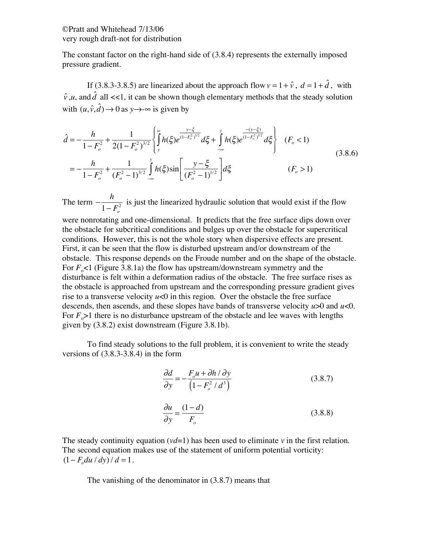The constant factor on the right-hand side of (3.8.4) represents the externally imposed pressure gradient.

If (3.8.3-3.8.5) are linearized about the approach flow  $v = 1 + \hat{v}$ ,  $d = 1 + \hat{d}$ , with  $\hat{v}$ ,*u*, and  $\hat{d}$  all <<1, it can be shown though elementary methods that the steady solution with  $(u, \hat{v}, \hat{d}) \rightarrow 0$  as  $y \rightarrow \infty$  is given by

$$
\hat{d} = -\frac{h}{1 - F_o^2} + \frac{1}{2(1 - F_o^2)^{3/2}} \left\{ \int_y^{\infty} h(\xi) e^{\frac{y - \xi}{(1 - F_o^2)^{1/2}}} d\xi + \int_{-\infty}^{y} h(\xi) e^{\frac{-(y - \xi)}{(1 - F_o^2)^{1/2}}} d\xi \right\} \quad (F_o < 1)
$$
\n
$$
= -\frac{h}{1 - F_o^2} + \frac{1}{(F_o^2 - 1)^{3/2}} \int_{-\infty}^{y} h(\xi) \sin\left[\frac{y - \xi}{(F_o^2 - 1)^{1/2}}\right] d\xi \qquad (F_o > 1)
$$
\n(3.8.6)

The term  $-\frac{h}{1}$  $1 - F_{o}^{2}$  $\frac{1}{2}$  is just the linearized hydraulic solution that would exist if the flow

were nonrotating and one-dimensional. It predicts that the free surface dips down over the obstacle for subcritical conditions and bulges up over the obstacle for supercritical conditions. However, this is not the whole story when dispersive effects are present. First, it can be seen that the flow is disturbed upstream and/or downstream of the obstacle. This response depends on the Froude number and on the shape of the obstacle. For  $F_{\rm c}$  (Figure 3.8.1a) the flow has upstream/downstream symmetry and the disturbance is felt within a deformation radius of the obstacle. The free surface rises as the obstacle is approached from upstream and the corresponding pressure gradient gives rise to a transverse velocity  $u<0$  in this region. Over the obstacle the free surface descends, then ascends, and these slopes have bands of transverse velocity *u*>0 and *u*<0. For  $F_{0}$ >1 there is no disturbance upstream of the obstacle and lee waves with lengths given by (3.8.2) exist downstream (Figure 3.8.1b).

To find steady solutions to the full problem, it is convenient to write the steady versions of (3.8.3-3.8.4) in the form

$$
\frac{\partial d}{\partial y} = -\frac{F_o u + \partial h / \partial y}{\left(1 - F_o^2 / d^3\right)}
$$
(3.8.7)  

$$
\frac{\partial u}{\partial y} = \frac{(1 - d)}{F_o}
$$
(3.8.8)

The steady continuity equation  $(vd=1)$  has been used to eliminate  $v$  in the first relation. The second equation makes use of the statement of uniform potential vorticity:  $(1 - F<sub>e</sub> du / dy) / d = 1.$ 

The vanishing of the denominator in (3.8.7) means that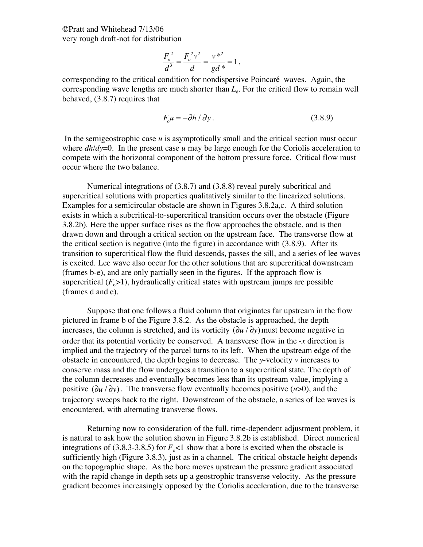$$
\frac{F_o^2}{d^3} = \frac{F_o^2 v^2}{d} = \frac{v^{*2}}{gd^{*}} = 1,
$$

corresponding to the critical condition for nondispersive Poincaré waves. Again, the corresponding wave lengths are much shorter than  $L_d$ . For the critical flow to remain well behaved, (3.8.7) requires that

$$
F_{o}u = -\partial h / \partial y. \tag{3.8.9}
$$

In the semigeostrophic case *u* is asymptotically small and the critical section must occur where *dh*/*dy*=0. In the present case *u* may be large enough for the Coriolis acceleration to compete with the horizontal component of the bottom pressure force. Critical flow must occur where the two balance.

Numerical integrations of (3.8.7) and (3.8.8) reveal purely subcritical and supercritical solutions with properties qualitatively similar to the linearized solutions. Examples for a semicircular obstacle are shown in Figures 3.8.2a,c. A third solution exists in which a subcritical-to-supercritical transition occurs over the obstacle (Figure 3.8.2b). Here the upper surface rises as the flow approaches the obstacle, and is then drawn down and through a critical section on the upstream face. The transverse flow at the critical section is negative (into the figure) in accordance with (3.8.9). After its transition to supercritical flow the fluid descends, passes the sill, and a series of lee waves is excited. Lee wave also occur for the other solutions that are supercritical downstream (frames b-e), and are only partially seen in the figures. If the approach flow is supercritical  $(F_{\sim} > 1)$ , hydraulically critical states with upstream jumps are possible (frames d and e).

Suppose that one follows a fluid column that originates far upstream in the flow pictured in frame b of the Figure 3.8.2. As the obstacle is approached, the depth increases, the column is stretched, and its vorticity  $(\partial u / \partial y)$  must become negative in order that its potential vorticity be conserved. A transverse flow in the -*x* direction is implied and the trajectory of the parcel turns to its left. When the upstream edge of the obstacle in encountered, the depth begins to decrease. The *y*-velocity *v* increases to conserve mass and the flow undergoes a transition to a supercritical state. The depth of the column decreases and eventually becomes less than its upstream value, implying a positive  $(\partial u / \partial y)$ . The transverse flow eventually becomes positive  $(u>0)$ , and the trajectory sweeps back to the right. Downstream of the obstacle, a series of lee waves is encountered, with alternating transverse flows.

Returning now to consideration of the full, time-dependent adjustment problem, it is natural to ask how the solution shown in Figure 3.8.2b is established. Direct numerical integrations of (3.8.3-3.8.5) for  $F_{\circ}$ <1 show that a bore is excited when the obstacle is sufficiently high (Figure 3.8.3), just as in a channel. The critical obstacle height depends on the topographic shape. As the bore moves upstream the pressure gradient associated with the rapid change in depth sets up a geostrophic transverse velocity. As the pressure gradient becomes increasingly opposed by the Coriolis acceleration, due to the transverse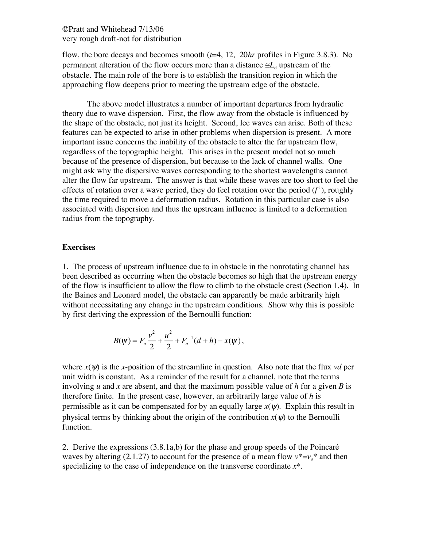flow, the bore decays and becomes smooth (*t*=4, 12, 20*hr* profiles in Figure 3.8.3). No permanent alteration of the flow occurs more than a distance  $\cong L_d$  upstream of the obstacle. The main role of the bore is to establish the transition region in which the approaching flow deepens prior to meeting the upstream edge of the obstacle.

The above model illustrates a number of important departures from hydraulic theory due to wave dispersion. First, the flow away from the obstacle is influenced by the shape of the obstacle, not just its height. Second, lee waves can arise. Both of these features can be expected to arise in other problems when dispersion is present. A more important issue concerns the inability of the obstacle to alter the far upstream flow, regardless of the topographic height. This arises in the present model not so much because of the presence of dispersion, but because to the lack of channel walls. One might ask why the dispersive waves corresponding to the shortest wavelengths cannot alter the flow far upstream. The answer is that while these waves are too short to feel the effects of rotation over a wave period, they do feel rotation over the period  $(f<sup>1</sup>)$ , roughly the time required to move a deformation radius. Rotation in this particular case is also associated with dispersion and thus the upstream influence is limited to a deformation radius from the topography.

#### **Exercises**

1. The process of upstream influence due to in obstacle in the nonrotating channel has been described as occurring when the obstacle becomes so high that the upstream energy of the flow is insufficient to allow the flow to climb to the obstacle crest (Section 1.4). In the Baines and Leonard model, the obstacle can apparently be made arbitrarily high without necessitating any change in the upstream conditions. Show why this is possible by first deriving the expression of the Bernoulli function:

$$
B(\psi) = F_o \frac{v^2}{2} + \frac{u^2}{2} + F_o^{-1}(d+h) - x(\psi),
$$

where  $x(\psi)$  is the *x*-position of the streamline in question. Also note that the flux *vd* per unit width is constant. As a reminder of the result for a channel, note that the terms involving *u* and *x* are absent, and that the maximum possible value of *h* for a given *B* is therefore finite. In the present case, however, an arbitrarily large value of *h* is permissible as it can be compensated for by an equally large  $x(\psi)$ . Explain this result in physical terms by thinking about the origin of the contribution  $x(\psi)$  to the Bernoulli function.

2. Derive the expressions (3.8.1a,b) for the phase and group speeds of the Poincaré waves by altering (2.1.27) to account for the presence of a mean flow  $v^* = v_0^*$  and then specializing to the case of independence on the transverse coordinate *x\**.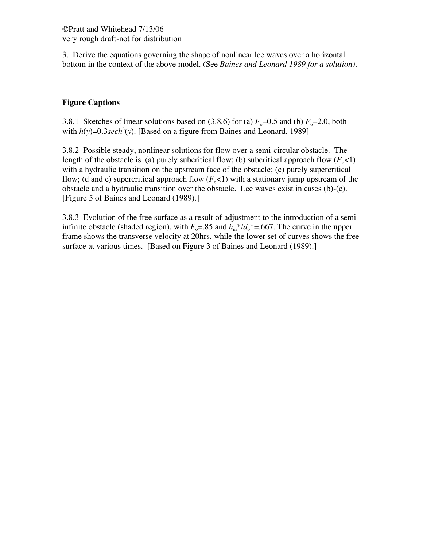3. Derive the equations governing the shape of nonlinear lee waves over a horizontal bottom in the context of the above model. (See *Baines and Leonard 1989 for a solution)*.

# **Figure Captions**

3.8.1 Sketches of linear solutions based on (3.8.6) for (a)  $F_o=0.5$  and (b)  $F_o=2.0$ , both with  $h(y)=0.3$ *sech*<sup>2</sup>(y). [Based on a figure from Baines and Leonard, 1989]

3.8.2 Possible steady, nonlinear solutions for flow over a semi-circular obstacle. The length of the obstacle is (a) purely subcritical flow; (b) subcritical approach flow  $(F_0 < 1)$ with a hydraulic transition on the upstream face of the obstacle; (c) purely supercritical flow; (d and e) supercritical approach flow  $(F_0<1)$  with a stationary jump upstream of the obstacle and a hydraulic transition over the obstacle. Lee waves exist in cases (b)-(e). [Figure 5 of Baines and Leonard (1989).]

3.8.3 Evolution of the free surface as a result of adjustment to the introduction of a semiinfinite obstacle (shaded region), with  $F_o = .85$  and  $h_m * / d_o * = .667$ . The curve in the upper frame shows the transverse velocity at 20hrs, while the lower set of curves shows the free surface at various times. [Based on Figure 3 of Baines and Leonard (1989).]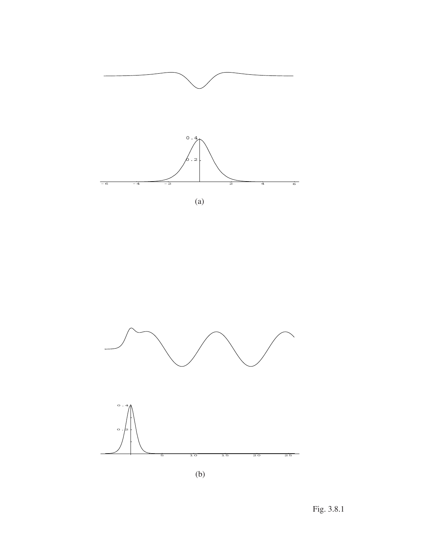



Fig. 3.8.1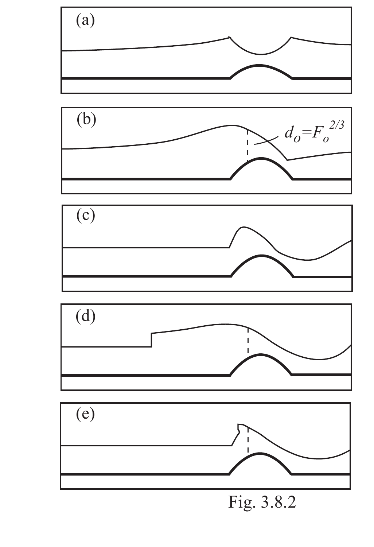